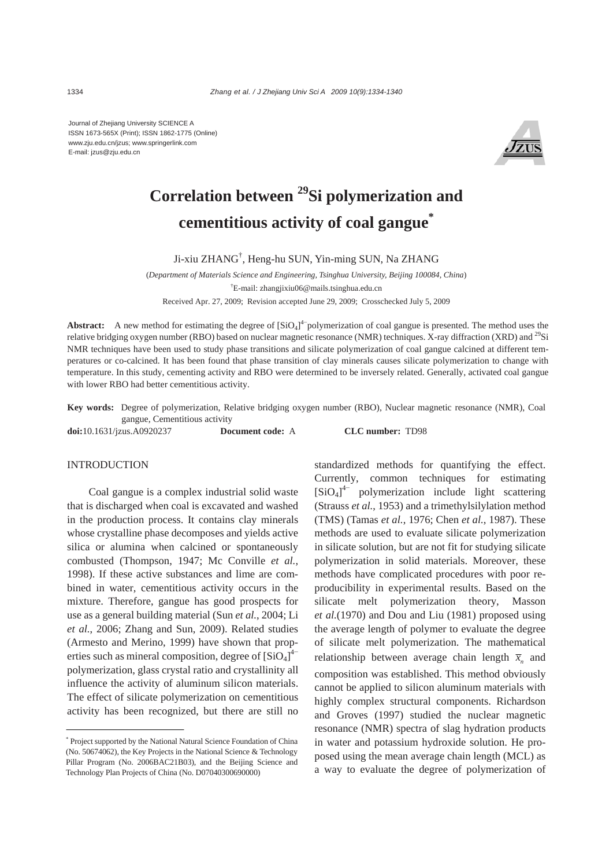Journal of Zhejiang University SCIENCE A ISSN 1673-565X (Print); ISSN 1862-1775 (Online) www.zju.edu.cn/jzus; www.springerlink.com E-mail: jzus@zju.edu.cn



# **Correlation between 29Si polymerization and cementitious activity of coal gangue\***

Ji-xiu ZHANG† , Heng-hu SUN, Yin-ming SUN, Na ZHANG

(*Department of Materials Science and Engineering, Tsinghua University, Beijing 100084, China*) † E-mail: zhangjixiu06@mails.tsinghua.edu.cn Received Apr. 27, 2009; Revision accepted June 29, 2009; Crosschecked July 5, 2009

**Abstract:** A new method for estimating the degree of  $[SiO<sub>4</sub>]<sup>4</sup>$  polymerization of coal gangue is presented. The method uses the relative bridging oxygen number (RBO) based on nuclear magnetic resonance (NMR) techniques. X-ray diffraction (XRD) and <sup>29</sup>Si NMR techniques have been used to study phase transitions and silicate polymerization of coal gangue calcined at different temperatures or co-calcined. It has been found that phase transition of clay minerals causes silicate polymerization to change with temperature. In this study, cementing activity and RBO were determined to be inversely related. Generally, activated coal gangue with lower RBO had better cementitious activity.

**Key words:** Degree of polymerization, Relative bridging oxygen number (RBO), Nuclear magnetic resonance (NMR), Coal gangue, Cementitious activity

**doi:**10.1631/jzus.A0920237 **Document code:** A **CLC number:** TD98

#### INTRODUCTION

Coal gangue is a complex industrial solid waste that is discharged when coal is excavated and washed in the production process. It contains clay minerals whose crystalline phase decomposes and yields active silica or alumina when calcined or spontaneously combusted (Thompson, 1947; Mc Conville *et al.*, 1998). If these active substances and lime are combined in water, cementitious activity occurs in the mixture. Therefore, gangue has good prospects for use as a general building material (Sun *et al.*, 2004; Li *et al.*, 2006; Zhang and Sun, 2009). Related studies (Armesto and Merino, 1999) have shown that properties such as mineral composition, degree of  $\left[SiO_4\right]^{4-}$ polymerization, glass crystal ratio and crystallinity all influence the activity of aluminum silicon materials. The effect of silicate polymerization on cementitious activity has been recognized, but there are still no

standardized methods for quantifying the effect. Currently, common techniques for estimating [SiO4] 4− polymerization include light scattering (Strauss *et al.*, 1953) and a trimethylsilylation method (TMS) (Tamas *et al.*, 1976; Chen *et al.*, 1987). These methods are used to evaluate silicate polymerization in silicate solution, but are not fit for studying silicate polymerization in solid materials. Moreover, these methods have complicated procedures with poor reproducibility in experimental results. Based on the silicate melt polymerization theory, Masson *et al.*(1970) and Dou and Liu (1981) proposed using the average length of polymer to evaluate the degree of silicate melt polymerization. The mathematical relationship between average chain length  $\bar{x}_n$  and composition was established. This method obviously cannot be applied to silicon aluminum materials with highly complex structural components. Richardson and Groves (1997) studied the nuclear magnetic resonance (NMR) spectra of slag hydration products in water and potassium hydroxide solution. He proposed using the mean average chain length (MCL) as a way to evaluate the degree of polymerization of

<sup>\*</sup> Project supported by the National Natural Science Foundation of China (No. 50674062), the Key Projects in the National Science & Technology Pillar Program (No. 2006BAC21B03), and the Beijing Science and Technology Plan Projects of China (No. D07040300690000)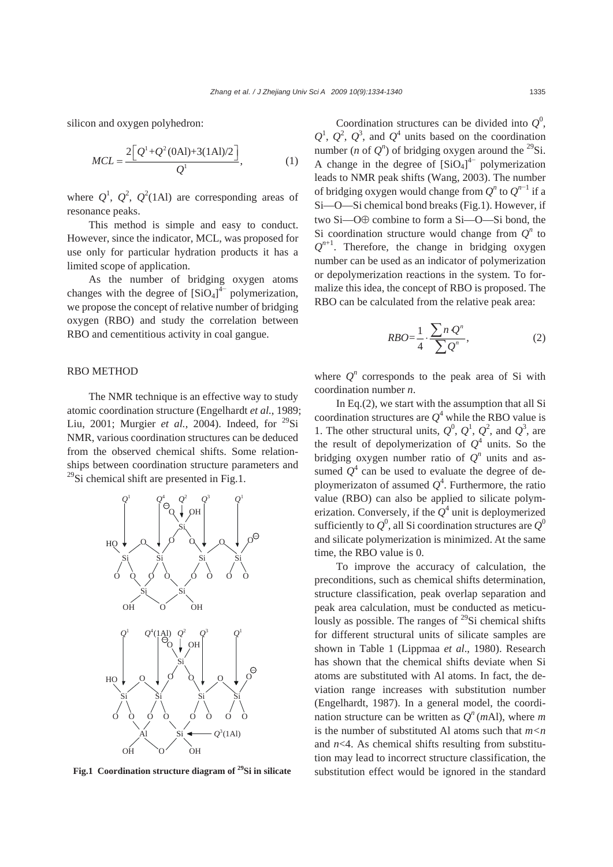silicon and oxygen polyhedron:

$$
MCL = \frac{2\left[Q^{1} + Q^{2}(0\text{Al}) + 3(1\text{Al})/2\right]}{Q^{1}},
$$
 (1)

where  $Q^1$ ,  $Q^2$ ,  $Q^2$ (1Al) are corresponding areas of resonance peaks.

This method is simple and easy to conduct. However, since the indicator, MCL, was proposed for use only for particular hydration products it has a limited scope of application.

As the number of bridging oxygen atoms changes with the degree of  $[SiO<sub>4</sub>]<sup>4</sup>$  polymerization, we propose the concept of relative number of bridging oxygen (RBO) and study the correlation between RBO and cementitious activity in coal gangue.

### RBO METHOD

The NMR technique is an effective way to study atomic coordination structure (Engelhardt *et al.*, 1989; Liu, 2001; Murgier *et al.*, 2004). Indeed, for <sup>29</sup>Si NMR, various coordination structures can be deduced from the observed chemical shifts. Some relationships between coordination structure parameters and  $^{29}$ Si chemical shift are presented in Fig.1.



**Fig.1 Coordination structure diagram of 29Si in silicate**

Coordination structures can be divided into  $Q^0$ ,  $Q^1$ ,  $Q^2$ ,  $Q^3$ , and  $Q^4$  units based on the coordination number (*n* of  $Q^n$ ) of bridging oxygen around the <sup>29</sup>Si. A change in the degree of  $[SiO<sub>4</sub>]<sup>4-</sup>$  polymerization leads to NMR peak shifts (Wang, 2003). The number of bridging oxygen would change from  $Q^n$  to  $Q^{n-1}$  if a Si—O—Si chemical bond breaks (Fig.1). However, if two Si—O⊕ combine to form a Si—O—Si bond, the Si coordination structure would change from  $Q<sup>n</sup>$  to  $Q^{n+1}$ . Therefore, the change in bridging oxygen number can be used as an indicator of polymerization or depolymerization reactions in the system. To formalize this idea, the concept of RBO is proposed. The RBO can be calculated from the relative peak area:

$$
RBO = \frac{1}{4} \cdot \frac{\sum n \, Q^n}{\sum Q^n},\tag{2}
$$

where  $Q^n$  corresponds to the peak area of Si with coordination number *n*.

In Eq.(2), we start with the assumption that all Si coordination structures are  $Q^4$  while the RBO value is 1. The other structural units,  $Q^0$ ,  $Q^1$ ,  $Q^2$ , and  $Q^3$ , are the result of depolymerization of  $Q^4$  units. So the bridging oxygen number ratio of  $Q^n$  units and assumed  $Q^4$  can be used to evaluate the degree of deploymerizaton of assumed  $Q^4$ . Furthermore, the ratio value (RBO) can also be applied to silicate polymerization. Conversely, if the  $Q^4$  unit is deploymerized sufficiently to  $Q^0$ , all Si coordination structures are  $Q^0$ and silicate polymerization is minimized. At the same time, the RBO value is 0.

To improve the accuracy of calculation, the preconditions, such as chemical shifts determination, structure classification, peak overlap separation and peak area calculation, must be conducted as meticulously as possible. The ranges of  $^{29}$ Si chemical shifts for different structural units of silicate samples are shown in Table 1 (Lippmaa *et al*., 1980). Research has shown that the chemical shifts deviate when Si atoms are substituted with Al atoms. In fact, the deviation range increases with substitution number (Engelhardt, 1987). In a general model, the coordination structure can be written as  $O<sup>n</sup>$  (*m*Al), where *m* is the number of substituted Al atoms such that  $m < n$ and *n*<4. As chemical shifts resulting from substitution may lead to incorrect structure classification, the substitution effect would be ignored in the standard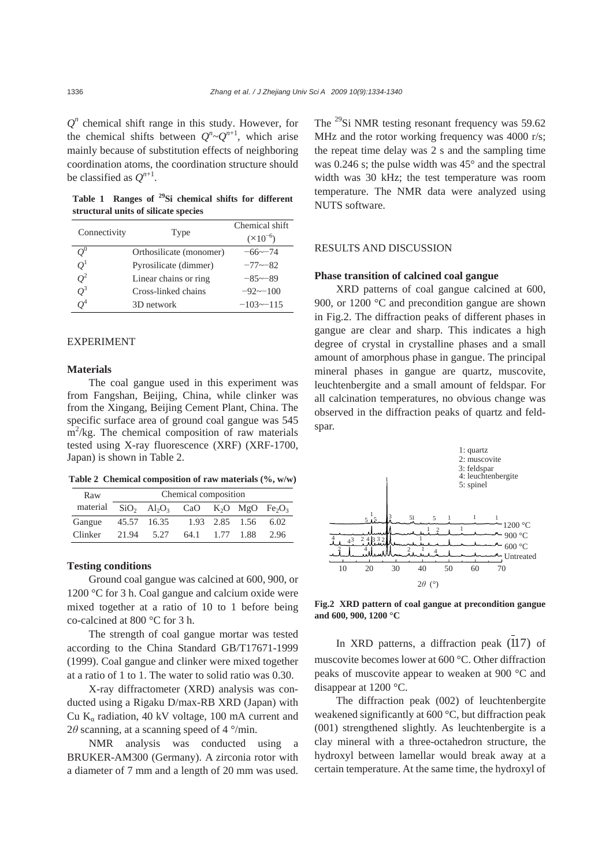$Q<sup>n</sup>$  chemical shift range in this study. However, for the chemical shifts between  $Q^n \sim Q^{n+1}$ , which arise mainly because of substitution effects of neighboring coordination atoms, the coordination structure should be classified as  $O^{n+1}$ .

**Table 1 Ranges of 29Si chemical shifts for different structural units of silicate species** 

| Connectivity |                         | Chemical shift     |  |
|--------------|-------------------------|--------------------|--|
|              | Type                    | $(\times 10^{-6})$ |  |
| $Q^0$        | Orthosilicate (monomer) | $-66 \sim -74$     |  |
| $O^1$        | Pyrosilicate (dimmer)   | $-77 \sim -82$     |  |
| $O^2$        | Linear chains or ring   | $-85 - 89$         |  |
| $O^3$        | Cross-linked chains     | $-92 - 100$        |  |
|              | 3D network              | $-103 - 115$       |  |

### EXPERIMENT

#### **Materials**

The coal gangue used in this experiment was from Fangshan, Beijing, China, while clinker was from the Xingang, Beijing Cement Plant, China. The specific surface area of ground coal gangue was 545 m<sup>2</sup>/kg. The chemical composition of raw materials tested using X-ray fluorescence (XRF) (XRF-1700, Japan) is shown in Table 2.

**Table 2 Chemical composition of raw materials (%, w/w)**

| Raw      | Chemical composition |             |                                                                                                |  |                |      |  |  |
|----------|----------------------|-------------|------------------------------------------------------------------------------------------------|--|----------------|------|--|--|
| material |                      |             | $SiO_2$ Al <sub>2</sub> O <sub>3</sub> CaO K <sub>2</sub> O MgO Fe <sub>2</sub> O <sub>3</sub> |  |                |      |  |  |
| Gangue   |                      | 45.57 16.35 |                                                                                                |  | 1.93 2.85 1.56 | 6.02 |  |  |
| Clinker  |                      | 21.94 5.27  | 64.1                                                                                           |  | 1.77 1.88      | 2.96 |  |  |

## **Testing conditions**

Ground coal gangue was calcined at 600, 900, or 1200 °C for 3 h. Coal gangue and calcium oxide were mixed together at a ratio of 10 to 1 before being co-calcined at 800 °C for 3 h.

The strength of coal gangue mortar was tested according to the China Standard GB/T17671-1999 (1999). Coal gangue and clinker were mixed together at a ratio of 1 to 1. The water to solid ratio was 0.30.

X-ray diffractometer (XRD) analysis was conducted using a Rigaku D/max-RB XRD (Japan) with Cu  $K_{\alpha}$  radiation, 40 kV voltage, 100 mA current and 2 $\theta$  scanning, at a scanning speed of 4  $\degree$ /min.

NMR analysis was conducted using a BRUKER-AM300 (Germany). A zirconia rotor with a diameter of 7 mm and a length of 20 mm was used.

The <sup>29</sup>Si NMR testing resonant frequency was 59.62 MHz and the rotor working frequency was 4000 r/s; the repeat time delay was 2 s and the sampling time was 0.246 s; the pulse width was 45° and the spectral width was 30 kHz; the test temperature was room temperature. The NMR data were analyzed using NUTS software.

### RESULTS AND DISCUSSION

### **Phase transition of calcined coal gangue**

XRD patterns of coal gangue calcined at 600, 900, or 1200 °C and precondition gangue are shown in Fig.2. The diffraction peaks of different phases in gangue are clear and sharp. This indicates a high degree of crystal in crystalline phases and a small amount of amorphous phase in gangue. The principal mineral phases in gangue are quartz, muscovite, leuchtenbergite and a small amount of feldspar. For all calcination temperatures, no obvious change was observed in the diffraction peaks of quartz and feldspar.



**Fig.2 XRD pattern of coal gangue at precondition gangue and 600, 900, 1200 °C** 

In XRD patterns, a diffraction peak (117) of muscovite becomes lower at 600 °C. Other diffraction peaks of muscovite appear to weaken at 900 °C and disappear at 1200 °C.

The diffraction peak (002) of leuchtenbergite weakened significantly at 600 °C, but diffraction peak (001) strengthened slightly. As leuchtenbergite is a clay mineral with a three-octahedron structure, the hydroxyl between lamellar would break away at a certain temperature. At the same time, the hydroxyl of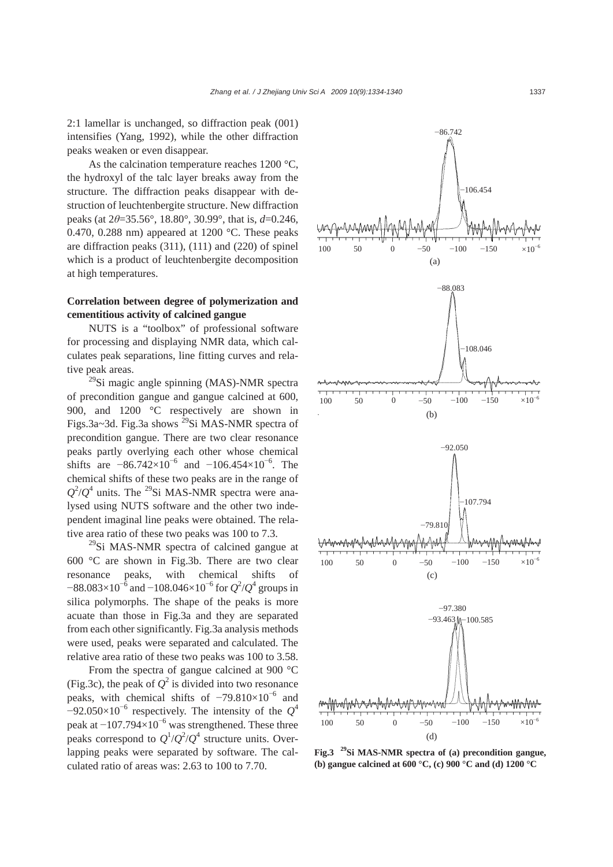2:1 lamellar is unchanged, so diffraction peak (001) intensifies (Yang, 1992), while the other diffraction peaks weaken or even disappear.

As the calcination temperature reaches 1200 °C, the hydroxyl of the talc layer breaks away from the structure. The diffraction peaks disappear with destruction of leuchtenbergite structure. New diffraction peaks (at 2*θ*=35.56°, 18.80°, 30.99°, that is, *d*=0.246, 0.470, 0.288 nm) appeared at 1200  $^{\circ}$ C. These peaks are diffraction peaks (311), (111) and (220) of spinel which is a product of leuchtenbergite decomposition at high temperatures.

## **Correlation between degree of polymerization and cementitious activity of calcined gangue**

NUTS is a "toolbox" of professional software for processing and displaying NMR data, which calculates peak separations, line fitting curves and relative peak areas.

 $^{29}$ Si magic angle spinning (MAS)-NMR spectra of precondition gangue and gangue calcined at 600, 900, and 1200 °C respectively are shown in Figs.3a~3d. Fig.3a shows <sup>29</sup>Si MAS-NMR spectra of precondition gangue. There are two clear resonance peaks partly overlying each other whose chemical shifts are  $-86.742\times10^{-6}$  and  $-106.454\times10^{-6}$ . The chemical shifts of these two peaks are in the range of  $Q^2/Q^4$  units. The <sup>29</sup>Si MAS-NMR spectra were analysed using NUTS software and the other two independent imaginal line peaks were obtained. The relative area ratio of these two peaks was 100 to 7.3.

 $^{29}$ Si MAS-NMR spectra of calcined gangue at 600 °C are shown in Fig.3b. There are two clear resonance peaks, with chemical shifts of  $-88.083\times10^{-6}$  and  $-108.046\times10^{-6}$  for  $Q^2/Q^4$  groups in silica polymorphs. The shape of the peaks is more acuate than those in Fig.3a and they are separated from each other significantly. Fig.3a analysis methods were used, peaks were separated and calculated. The relative area ratio of these two peaks was 100 to 3.58.

From the spectra of gangue calcined at 900 °C (Fig.3c), the peak of  $Q^2$  is divided into two resonance peaks, with chemical shifts of  $-79.810\times10^{-6}$  and  $-92.050\times10^{-6}$  respectively. The intensity of the  $Q^4$ peak at  $-107.794\times10^{-6}$  was strengthened. These three peaks correspond to  $Q^1/Q^2/Q^4$  structure units. Overlapping peaks were separated by software. The calculated ratio of areas was: 2.63 to 100 to 7.70.



**Fig.3 29Si MAS-NMR spectra of (a) precondition gangue, (b) gangue calcined at 600 °C, (c) 900 °C and (d) 1200 °C**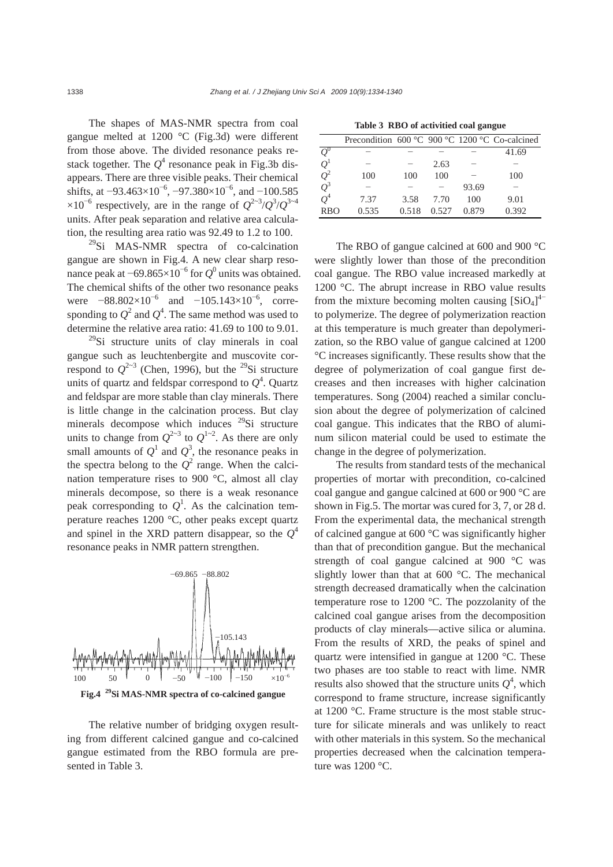The shapes of MAS-NMR spectra from coal gangue melted at 1200 °C (Fig.3d) were different from those above. The divided resonance peaks restack together. The  $Q^4$  resonance peak in Fig.3b disappears. There are three visible peaks. Their chemical shifts, at  $-93.463 \times 10^{-6}$ ,  $-97.380 \times 10^{-6}$ , and  $-100.585$  $\times 10^{-6}$  respectively, are in the range of  $Q^{2\times 3}/Q^{3}/Q^{3\times 4}$ units. After peak separation and relative area calculation, the resulting area ratio was 92.49 to 1.2 to 100.

 $^{29}$ Si MAS-NMR spectra of co-calcination gangue are shown in Fig.4. A new clear sharp resonance peak at  $-69.865 \times 10^{-6}$  for  $Q^0$  units was obtained. The chemical shifts of the other two resonance peaks were  $-88.802\times10^{-6}$  and  $-105.143\times10^{-6}$ , corresponding to  $Q^2$  and  $Q^4$ . The same method was used to determine the relative area ratio: 41.69 to 100 to 9.01.

<sup>29</sup>Si structure units of clay minerals in coal gangue such as leuchtenbergite and muscovite correspond to  $Q^{2-3}$  (Chen, 1996), but the <sup>29</sup>Si structure units of quartz and feldspar correspond to  $Q^4$ . Quartz and feldspar are more stable than clay minerals. There is little change in the calcination process. But clay minerals decompose which induces  $^{29}$ Si structure units to change from  $Q^{2-3}$  to  $Q^{1-2}$ . As there are only small amounts of  $Q^1$  and  $Q^3$ , the resonance peaks in the spectra belong to the  $Q^2$  range. When the calcination temperature rises to 900 °C, almost all clay minerals decompose, so there is a weak resonance peak corresponding to  $Q^1$ . As the calcination temperature reaches 1200 °C, other peaks except quartz and spinel in the XRD pattern disappear, so the  $Q^4$ resonance peaks in NMR pattern strengthen.



**Fig.4 29Si MAS-NMR spectra of co-calcined gangue**

The relative number of bridging oxygen resulting from different calcined gangue and co-calcined gangue estimated from the RBO formula are presented in Table 3.

| Tuone of the $\sigma$ of activities compared $\sigma$ |                                                |       |       |       |       |  |  |  |
|-------------------------------------------------------|------------------------------------------------|-------|-------|-------|-------|--|--|--|
|                                                       | Precondition 600 °C 900 °C 1200 °C Co-calcined |       |       |       |       |  |  |  |
|                                                       |                                                |       |       |       | 41.69 |  |  |  |
| $Q^1$                                                 |                                                |       | 2.63  |       |       |  |  |  |
| $Q^2$                                                 | 100                                            | 100   | 100   |       | 100   |  |  |  |
| $Q^3$                                                 |                                                |       |       | 93.69 |       |  |  |  |
| $Q^4$                                                 | 7.37                                           | 3.58  | 7.70  | 100   | 9.01  |  |  |  |
| <b>RBO</b>                                            | 0.535                                          | 0.518 | 0.527 | 0.879 | 0.392 |  |  |  |

**Table 3 RBO of activitied coal gangue** 

The RBO of gangue calcined at 600 and 900 °C were slightly lower than those of the precondition coal gangue. The RBO value increased markedly at 1200 °C. The abrupt increase in RBO value results from the mixture becoming molten causing  $[SiO<sub>4</sub>]<sup>4</sup>$ to polymerize. The degree of polymerization reaction at this temperature is much greater than depolymerization, so the RBO value of gangue calcined at 1200 °C increases significantly. These results show that the degree of polymerization of coal gangue first decreases and then increases with higher calcination temperatures. Song (2004) reached a similar conclusion about the degree of polymerization of calcined coal gangue. This indicates that the RBO of aluminum silicon material could be used to estimate the change in the degree of polymerization.

The results from standard tests of the mechanical properties of mortar with precondition, co-calcined coal gangue and gangue calcined at 600 or 900 °C are shown in Fig.5. The mortar was cured for 3, 7, or 28 d. From the experimental data, the mechanical strength of calcined gangue at 600 °C was significantly higher than that of precondition gangue. But the mechanical strength of coal gangue calcined at 900 °C was slightly lower than that at 600 °C. The mechanical strength decreased dramatically when the calcination temperature rose to 1200 °C. The pozzolanity of the calcined coal gangue arises from the decomposition products of clay minerals—active silica or alumina. From the results of XRD, the peaks of spinel and quartz were intensified in gangue at 1200 °C. These two phases are too stable to react with lime. NMR results also showed that the structure units  $Q^4$ , which correspond to frame structure, increase significantly at 1200 °C. Frame structure is the most stable structure for silicate minerals and was unlikely to react with other materials in this system. So the mechanical properties decreased when the calcination temperature was 1200 °C.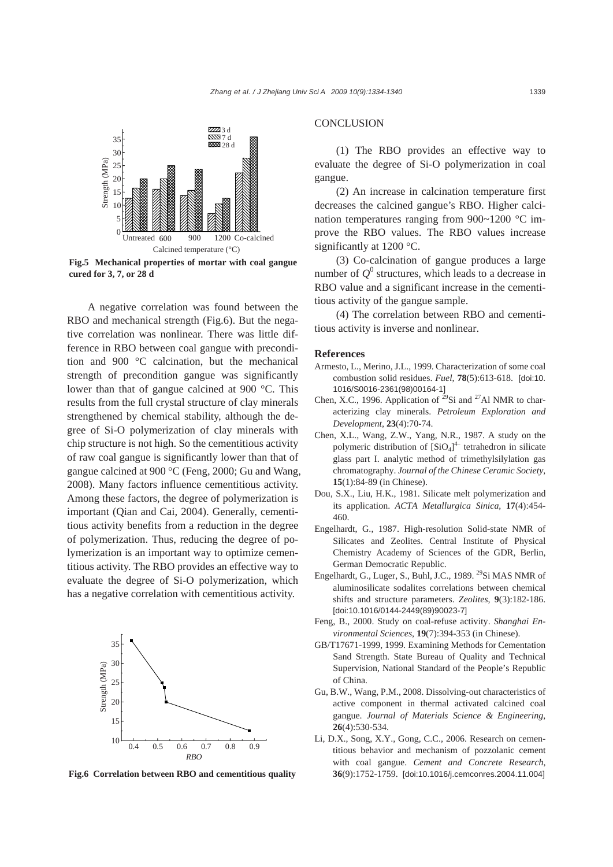

**Fig.5 Mechanical properties of mortar with coal gangue cured for 3, 7, or 28 d** 

A negative correlation was found between the RBO and mechanical strength (Fig.6). But the negative correlation was nonlinear. There was little difference in RBO between coal gangue with precondition and 900 °C calcination, but the mechanical strength of precondition gangue was significantly lower than that of gangue calcined at 900 °C. This results from the full crystal structure of clay minerals strengthened by chemical stability, although the degree of Si-O polymerization of clay minerals with chip structure is not high. So the cementitious activity of raw coal gangue is significantly lower than that of gangue calcined at 900 °C (Feng, 2000; Gu and Wang, 2008). Many factors influence cementitious activity. Among these factors, the degree of polymerization is important (Qian and Cai, 2004). Generally, cementitious activity benefits from a reduction in the degree of polymerization. Thus, reducing the degree of polymerization is an important way to optimize cementitious activity. The RBO provides an effective way to evaluate the degree of Si-O polymerization, which has a negative correlation with cementitious activity.



#### **Fig.6 Correlation between RBO and cementitious quality**

## **CONCLUSION**

(1) The RBO provides an effective way to evaluate the degree of Si-O polymerization in coal gangue.

(2) An increase in calcination temperature first decreases the calcined gangue's RBO. Higher calcination temperatures ranging from 900~1200 °C improve the RBO values. The RBO values increase significantly at 1200 °C.

(3) Co-calcination of gangue produces a large number of  $Q^0$  structures, which leads to a decrease in RBO value and a significant increase in the cementitious activity of the gangue sample.

(4) The correlation between RBO and cementitious activity is inverse and nonlinear.

#### **References**

- Armesto, L., Merino, J.L., 1999. Characterization of some coal combustion solid residues. *Fuel*, **78**(5):613-618. [doi:10. 1016/S0016-2361(98)00164-1]
- Chen, X.C., 1996. Application of  $^{29}Si$  and  $^{27}Al$  NMR to characterizing clay minerals. *Petroleum Exploration and Development*, **23**(4):70-74.
- Chen, X.L., Wang, Z.W., Yang, N.R., 1987. A study on the polymeric distribution of  $\left[SiO_4\right]^4$  tetrahedron in silicate glass part I. analytic method of trimethylsilylation gas chromatography. *Journal of the Chinese Ceramic Society*, **15**(1):84-89 (in Chinese).
- Dou, S.X., Liu, H.K., 1981. Silicate melt polymerization and its application. *ACTA Metallurgica Sinica*, **17**(4):454- 460.
- Engelhardt, G., 1987. High-resolution Solid-state NMR of Silicates and Zeolites. Central Institute of Physical Chemistry Academy of Sciences of the GDR, Berlin, German Democratic Republic.
- Engelhardt, G., Luger, S., Buhl, J.C., 1989.<sup>29</sup>Si MAS NMR of aluminosilicate sodalites correlations between chemical shifts and structure parameters. *Zeolites*, **9**(3):182-186. [doi:10.1016/0144-2449(89)90023-7]
- Feng, B., 2000. Study on coal-refuse activity. *Shanghai Environmental Sciences*, **19**(7):394-353 (in Chinese).
- GB/T17671-1999, 1999. Examining Methods for Cementation Sand Strength. State Bureau of Quality and Technical Supervision, National Standard of the People's Republic of China.
- Gu, B.W., Wang, P.M., 2008. Dissolving-out characteristics of active component in thermal activated calcined coal gangue. *Journal of Materials Science & Engineering*, **26**(4):530-534.
- Li, D.X., Song, X.Y., Gong, C.C., 2006. Research on cementitious behavior and mechanism of pozzolanic cement with coal gangue. *Cement and Concrete Research*, **36**(9):1752-1759. [doi:10.1016/j.cemconres.2004.11.004]